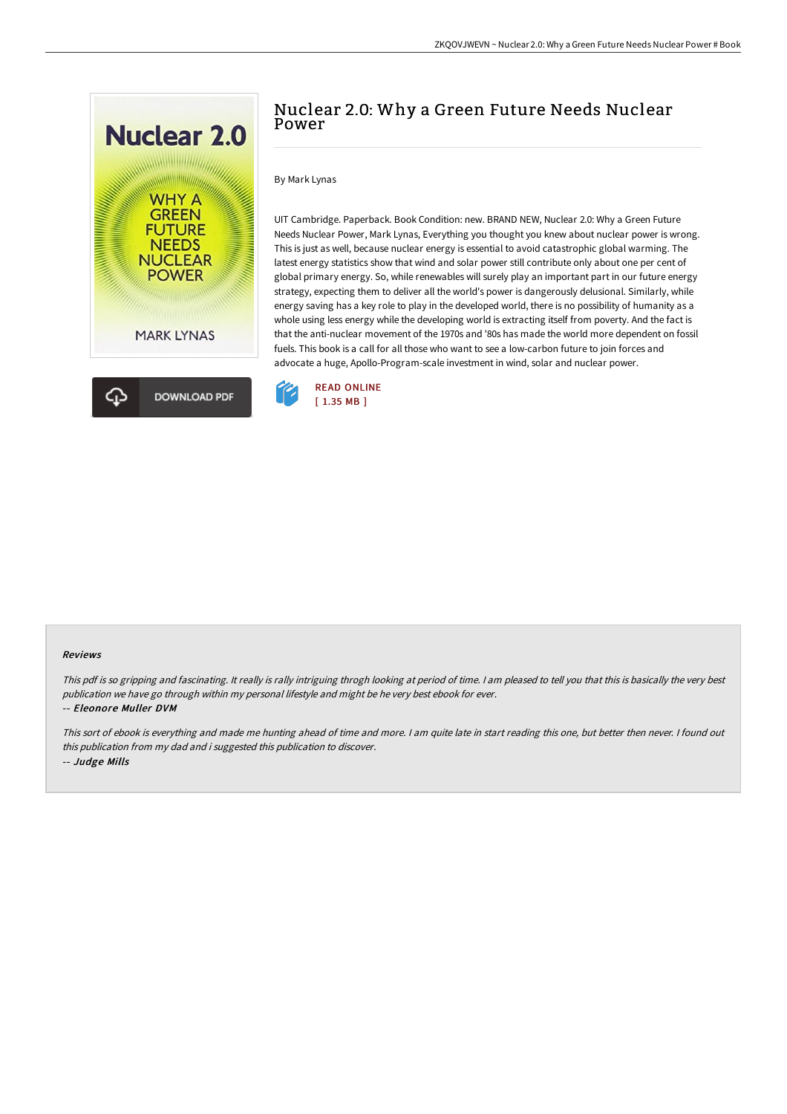



# Nuclear 2.0: Why a Green Future Needs Nuclear Power

## By Mark Lynas

UIT Cambridge. Paperback. Book Condition: new. BRAND NEW, Nuclear 2.0: Why a Green Future Needs Nuclear Power, Mark Lynas, Everything you thought you knew about nuclear power is wrong. This is just as well, because nuclear energy is essential to avoid catastrophic global warming. The latest energy statistics show that wind and solar power still contribute only about one per cent of global primary energy. So, while renewables will surely play an important part in our future energy strategy, expecting them to deliver all the world's power is dangerously delusional. Similarly, while energy saving has a key role to play in the developed world, there is no possibility of humanity as a whole using less energy while the developing world is extracting itself from poverty. And the fact is that the anti-nuclear movement of the 1970s and '80s has made the world more dependent on fossil fuels. This book is a call for all those who want to see a low-carbon future to join forces and advocate a huge, Apollo-Program-scale investment in wind, solar and nuclear power.



#### Reviews

This pdf is so gripping and fascinating. It really is rally intriguing throgh looking at period of time. I am pleased to tell you that this is basically the very best publication we have go through within my personal lifestyle and might be he very best ebook for ever. -- Eleonore Muller DVM

This sort of ebook is everything and made me hunting ahead of time and more. <sup>I</sup> am quite late in start reading this one, but better then never. <sup>I</sup> found out this publication from my dad and i suggested this publication to discover. -- Judge Mills